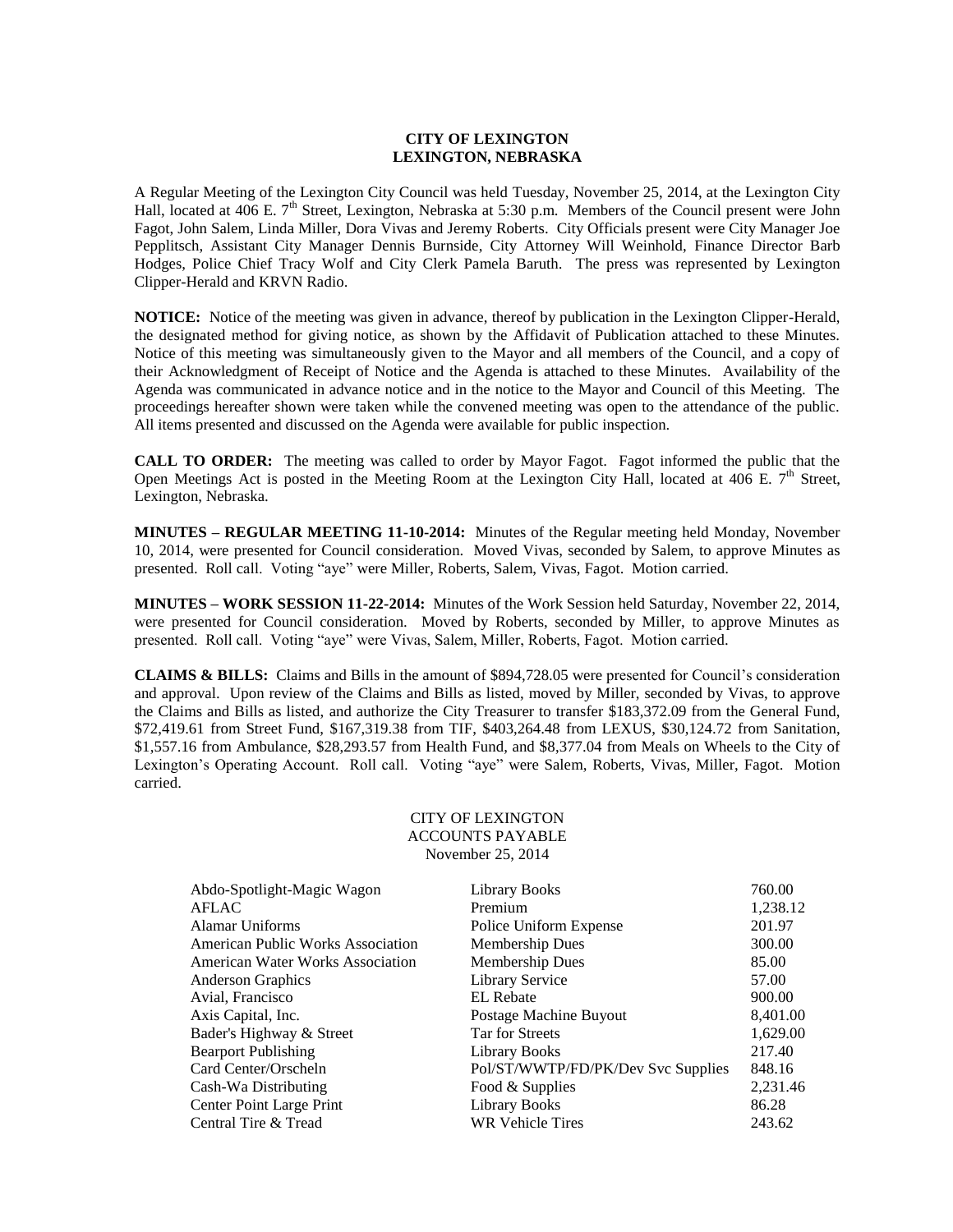## **CITY OF LEXINGTON LEXINGTON, NEBRASKA**

A Regular Meeting of the Lexington City Council was held Tuesday, November 25, 2014, at the Lexington City Hall, located at 406 E.  $7<sup>th</sup>$  Street, Lexington, Nebraska at 5:30 p.m. Members of the Council present were John Fagot, John Salem, Linda Miller, Dora Vivas and Jeremy Roberts. City Officials present were City Manager Joe Pepplitsch, Assistant City Manager Dennis Burnside, City Attorney Will Weinhold, Finance Director Barb Hodges, Police Chief Tracy Wolf and City Clerk Pamela Baruth. The press was represented by Lexington Clipper-Herald and KRVN Radio.

**NOTICE:** Notice of the meeting was given in advance, thereof by publication in the Lexington Clipper-Herald, the designated method for giving notice, as shown by the Affidavit of Publication attached to these Minutes. Notice of this meeting was simultaneously given to the Mayor and all members of the Council, and a copy of their Acknowledgment of Receipt of Notice and the Agenda is attached to these Minutes. Availability of the Agenda was communicated in advance notice and in the notice to the Mayor and Council of this Meeting. The proceedings hereafter shown were taken while the convened meeting was open to the attendance of the public. All items presented and discussed on the Agenda were available for public inspection.

**CALL TO ORDER:** The meeting was called to order by Mayor Fagot. Fagot informed the public that the Open Meetings Act is posted in the Meeting Room at the Lexington City Hall, located at 406 E.  $7<sup>th</sup>$  Street, Lexington, Nebraska.

**MINUTES – REGULAR MEETING 11-10-2014:** Minutes of the Regular meeting held Monday, November 10, 2014, were presented for Council consideration. Moved Vivas, seconded by Salem, to approve Minutes as presented. Roll call. Voting "aye" were Miller, Roberts, Salem, Vivas, Fagot. Motion carried.

**MINUTES – WORK SESSION 11-22-2014:** Minutes of the Work Session held Saturday, November 22, 2014, were presented for Council consideration. Moved by Roberts, seconded by Miller, to approve Minutes as presented. Roll call. Voting "aye" were Vivas, Salem, Miller, Roberts, Fagot. Motion carried.

**CLAIMS & BILLS:** Claims and Bills in the amount of \$894,728.05 were presented for Council's consideration and approval. Upon review of the Claims and Bills as listed, moved by Miller, seconded by Vivas, to approve the Claims and Bills as listed, and authorize the City Treasurer to transfer \$183,372.09 from the General Fund, \$72,419.61 from Street Fund, \$167,319.38 from TIF, \$403,264.48 from LEXUS, \$30,124.72 from Sanitation, \$1,557.16 from Ambulance, \$28,293.57 from Health Fund, and \$8,377.04 from Meals on Wheels to the City of Lexington's Operating Account. Roll call. Voting "aye" were Salem, Roberts, Vivas, Miller, Fagot. Motion carried.

> CITY OF LEXINGTON ACCOUNTS PAYABLE November 25, 2014

| Abdo-Spotlight-Magic Wagon<br>AFLAC      | Library Books<br>Premium           | 760.00<br>1,238.12 |
|------------------------------------------|------------------------------------|--------------------|
| Alamar Uniforms                          |                                    |                    |
|                                          | Police Uniform Expense             | 201.97             |
| <b>American Public Works Association</b> | Membership Dues                    | 300.00             |
| <b>American Water Works Association</b>  | Membership Dues                    | 85.00              |
| <b>Anderson Graphics</b>                 | <b>Library Service</b>             | 57.00              |
| Avial, Francisco                         | EL Rebate                          | 900.00             |
| Axis Capital, Inc.                       | Postage Machine Buyout             | 8,401.00           |
| Bader's Highway & Street                 | Tar for Streets                    | 1.629.00           |
| <b>Bearport Publishing</b>               | Library Books                      | 217.40             |
| Card Center/Orscheln                     | Pol/ST/WWTP/FD/PK/Dev Svc Supplies | 848.16             |
| Cash-Wa Distributing                     | Food & Supplies                    | 2,231.46           |
| Center Point Large Print                 | <b>Library Books</b>               | 86.28              |
| Central Tire & Tread                     | <b>WR Vehicle Tires</b>            | 243.62             |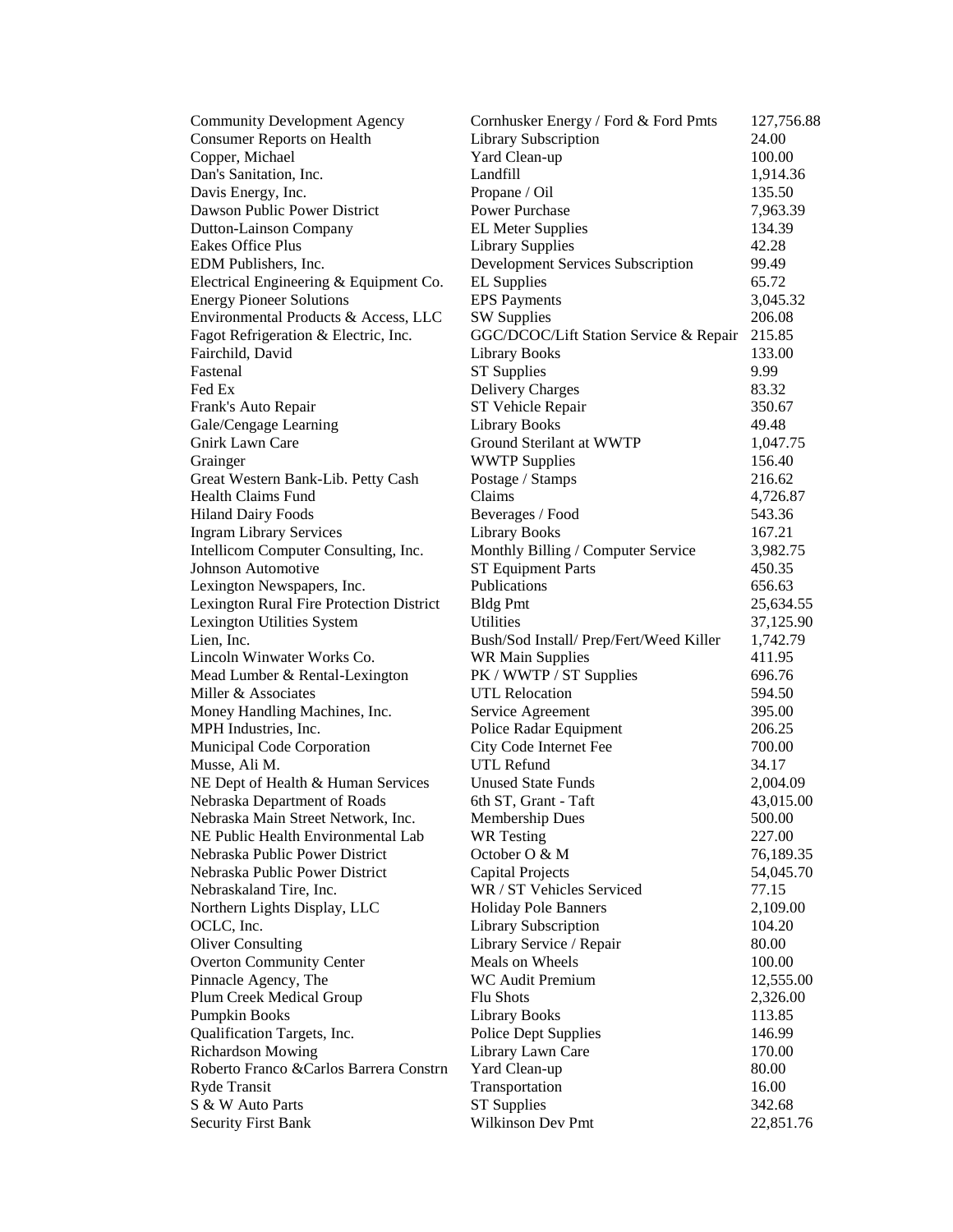| <b>Community Development Agency</b>      | Cornhusker Energy / Ford & Ford Pmts    | 127,756.88 |
|------------------------------------------|-----------------------------------------|------------|
| <b>Consumer Reports on Health</b>        | Library Subscription                    | 24.00      |
| Copper, Michael                          | Yard Clean-up                           | 100.00     |
| Dan's Sanitation, Inc.                   | Landfill                                | 1,914.36   |
| Davis Energy, Inc.                       | Propane / Oil                           | 135.50     |
| Dawson Public Power District             | <b>Power Purchase</b>                   | 7,963.39   |
| Dutton-Lainson Company                   | <b>EL Meter Supplies</b>                | 134.39     |
| Eakes Office Plus                        | <b>Library Supplies</b>                 | 42.28      |
| EDM Publishers, Inc.                     | Development Services Subscription       | 99.49      |
| Electrical Engineering & Equipment Co.   | <b>EL</b> Supplies                      | 65.72      |
| <b>Energy Pioneer Solutions</b>          | <b>EPS</b> Payments                     | 3,045.32   |
| Environmental Products & Access, LLC     | <b>SW Supplies</b>                      | 206.08     |
| Fagot Refrigeration & Electric, Inc.     | GGC/DCOC/Lift Station Service & Repair  | 215.85     |
| Fairchild, David                         | <b>Library Books</b>                    | 133.00     |
| Fastenal                                 | <b>ST</b> Supplies                      | 9.99       |
| Fed Ex                                   | Delivery Charges                        | 83.32      |
| Frank's Auto Repair                      | ST Vehicle Repair                       | 350.67     |
| Gale/Cengage Learning                    | <b>Library Books</b>                    | 49.48      |
| Gnirk Lawn Care                          | Ground Sterilant at WWTP                | 1,047.75   |
| Grainger                                 | <b>WWTP Supplies</b>                    | 156.40     |
| Great Western Bank-Lib. Petty Cash       | Postage / Stamps                        | 216.62     |
| <b>Health Claims Fund</b>                | Claims                                  | 4,726.87   |
| <b>Hiland Dairy Foods</b>                | Beverages / Food                        | 543.36     |
| <b>Ingram Library Services</b>           | <b>Library Books</b>                    | 167.21     |
| Intellicom Computer Consulting, Inc.     | Monthly Billing / Computer Service      | 3,982.75   |
| Johnson Automotive                       | <b>ST Equipment Parts</b>               | 450.35     |
| Lexington Newspapers, Inc.               | Publications                            | 656.63     |
| Lexington Rural Fire Protection District | <b>Bldg Pmt</b>                         | 25,634.55  |
| Lexington Utilities System               | Utilities                               | 37,125.90  |
| Lien, Inc.                               | Bush/Sod Install/ Prep/Fert/Weed Killer | 1,742.79   |
| Lincoln Winwater Works Co.               | <b>WR Main Supplies</b>                 | 411.95     |
| Mead Lumber & Rental-Lexington           | PK / WWTP / ST Supplies                 | 696.76     |
| Miller & Associates                      | <b>UTL Relocation</b>                   | 594.50     |
| Money Handling Machines, Inc.            | Service Agreement                       | 395.00     |
| MPH Industries, Inc.                     | Police Radar Equipment                  | 206.25     |
| Municipal Code Corporation               | City Code Internet Fee                  | 700.00     |
| Musse, Ali M.                            | UTL Refund                              | 34.17      |
| NE Dept of Health & Human Services       | <b>Unused State Funds</b>               | 2,004.09   |
| Nebraska Department of Roads             | 6th ST, Grant - Taft                    | 43,015.00  |
| Nebraska Main Street Network, Inc.       | Membership Dues                         | 500.00     |
| NE Public Health Environmental Lab       | <b>WR</b> Testing                       | 227.00     |
| Nebraska Public Power District           | October $O \& M$                        | 76,189.35  |
| Nebraska Public Power District           | <b>Capital Projects</b>                 | 54,045.70  |
| Nebraskaland Tire, Inc.                  | WR / ST Vehicles Serviced               | 77.15      |
| Northern Lights Display, LLC             | Holiday Pole Banners                    | 2,109.00   |
| OCLC, Inc.                               | Library Subscription                    | 104.20     |
| <b>Oliver Consulting</b>                 | Library Service / Repair                | 80.00      |
| <b>Overton Community Center</b>          | Meals on Wheels                         | 100.00     |
| Pinnacle Agency, The                     | <b>WC Audit Premium</b>                 | 12,555.00  |
| Plum Creek Medical Group                 | <b>Flu Shots</b>                        | 2,326.00   |
| Pumpkin Books                            | <b>Library Books</b>                    | 113.85     |
| Qualification Targets, Inc.              | <b>Police Dept Supplies</b>             | 146.99     |
| <b>Richardson Mowing</b>                 | Library Lawn Care                       | 170.00     |
| Roberto Franco & Carlos Barrera Constrn  | Yard Clean-up                           | 80.00      |
| Ryde Transit                             | Transportation                          | 16.00      |
| S & W Auto Parts                         | <b>ST Supplies</b>                      | 342.68     |
| <b>Security First Bank</b>               | Wilkinson Dev Pmt                       | 22,851.76  |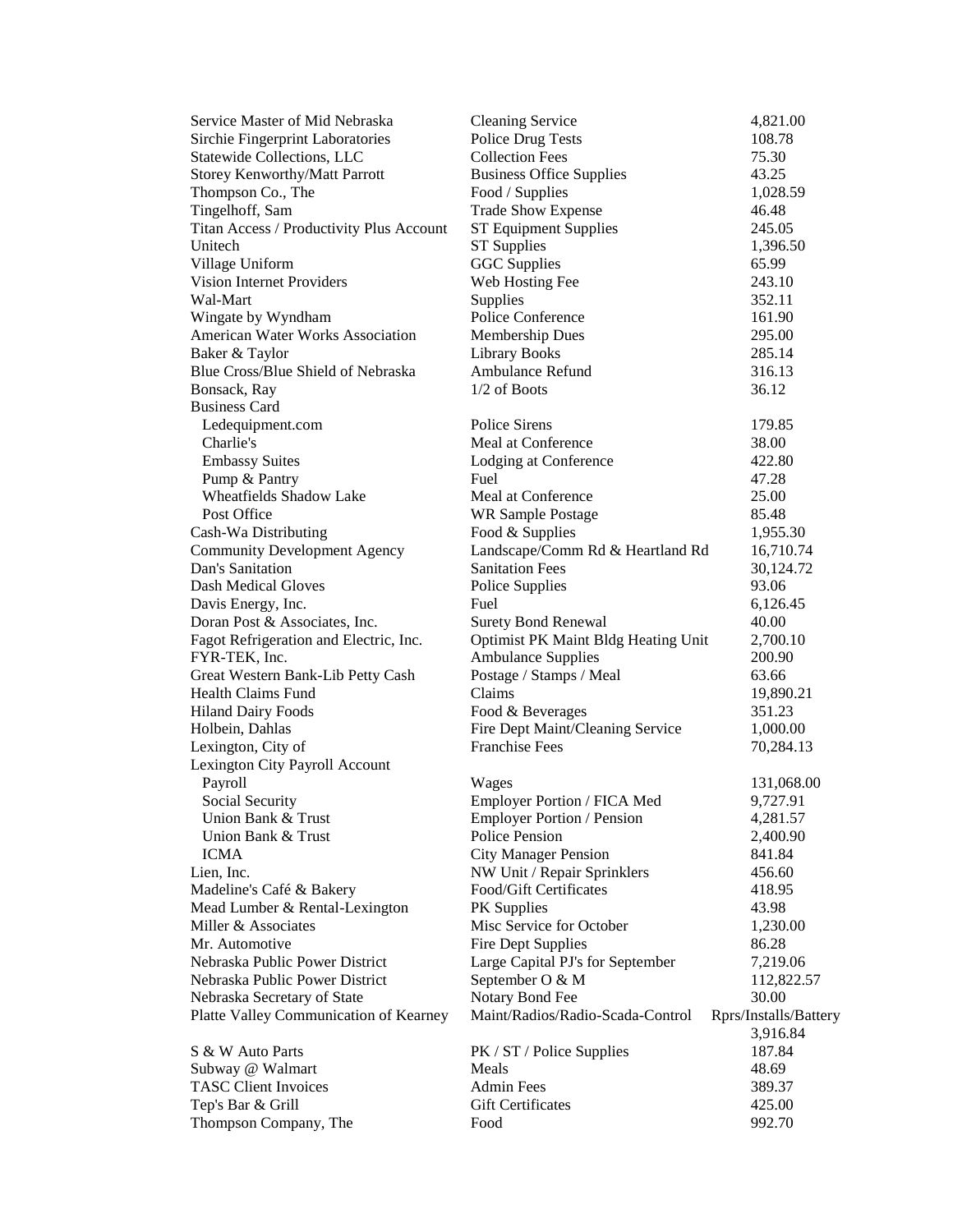| Service Master of Mid Nebraska           | <b>Cleaning Service</b>                                   | 4,821.00               |
|------------------------------------------|-----------------------------------------------------------|------------------------|
| Sirchie Fingerprint Laboratories         | <b>Police Drug Tests</b>                                  | 108.78                 |
| Statewide Collections, LLC               | <b>Collection Fees</b>                                    | 75.30                  |
| <b>Storey Kenworthy/Matt Parrott</b>     | <b>Business Office Supplies</b>                           | 43.25                  |
| Thompson Co., The                        | Food / Supplies                                           | 1,028.59               |
| Tingelhoff, Sam                          | <b>Trade Show Expense</b>                                 | 46.48                  |
| Titan Access / Productivity Plus Account | <b>ST Equipment Supplies</b>                              | 245.05                 |
| Unitech                                  | <b>ST Supplies</b>                                        | 1,396.50               |
| Village Uniform                          | <b>GGC</b> Supplies                                       | 65.99                  |
| <b>Vision Internet Providers</b>         | Web Hosting Fee                                           | 243.10                 |
| Wal-Mart                                 | <b>Supplies</b>                                           | 352.11                 |
| Wingate by Wyndham                       | Police Conference                                         | 161.90                 |
| American Water Works Association         | <b>Membership Dues</b>                                    | 295.00                 |
| Baker & Taylor                           | <b>Library Books</b>                                      | 285.14                 |
| Blue Cross/Blue Shield of Nebraska       | Ambulance Refund                                          | 316.13                 |
| Bonsack, Ray                             | $1/2$ of Boots                                            | 36.12                  |
| <b>Business Card</b>                     |                                                           |                        |
| Ledequipment.com                         | Police Sirens                                             | 179.85                 |
| Charlie's                                | Meal at Conference                                        | 38.00                  |
| <b>Embassy Suites</b>                    | Lodging at Conference                                     | 422.80                 |
| Pump & Pantry                            | Fuel                                                      | 47.28                  |
| Wheatfields Shadow Lake                  | Meal at Conference                                        | 25.00                  |
| Post Office                              | <b>WR Sample Postage</b>                                  | 85.48                  |
| Cash-Wa Distributing                     | Food & Supplies                                           | 1,955.30               |
| <b>Community Development Agency</b>      | Landscape/Comm Rd & Heartland Rd                          | 16,710.74              |
| Dan's Sanitation                         | <b>Sanitation Fees</b>                                    | 30,124.72              |
| <b>Dash Medical Gloves</b>               | Police Supplies                                           | 93.06                  |
| Davis Energy, Inc.                       | Fuel                                                      | 6,126.45               |
| Doran Post & Associates, Inc.            | <b>Surety Bond Renewal</b>                                | 40.00                  |
| Fagot Refrigeration and Electric, Inc.   | <b>Optimist PK Maint Bldg Heating Unit</b>                | 2,700.10               |
| FYR-TEK, Inc.                            | <b>Ambulance Supplies</b>                                 | 200.90                 |
| Great Western Bank-Lib Petty Cash        | Postage / Stamps / Meal                                   | 63.66                  |
| <b>Health Claims Fund</b>                | Claims                                                    | 19,890.21              |
| <b>Hiland Dairy Foods</b>                | Food & Beverages                                          | 351.23                 |
| Holbein, Dahlas                          | Fire Dept Maint/Cleaning Service<br><b>Franchise Fees</b> | 1,000.00               |
| Lexington, City of                       |                                                           | 70,284.13              |
| Lexington City Payroll Account           |                                                           |                        |
| Payroll<br>Social Security               | Wages<br>Employer Portion / FICA Med                      | 131,068.00<br>9,727.91 |
| Union Bank & Trust                       | <b>Employer Portion / Pension</b>                         | 4,281.57               |
| Union Bank & Trust                       | Police Pension                                            |                        |
| <b>ICMA</b>                              | <b>City Manager Pension</b>                               | 2,400.90<br>841.84     |
| Lien, Inc.                               | NW Unit / Repair Sprinklers                               | 456.60                 |
| Madeline's Café & Bakery                 | Food/Gift Certificates                                    | 418.95                 |
| Mead Lumber & Rental-Lexington           | PK Supplies                                               | 43.98                  |
| Miller & Associates                      | Misc Service for October                                  | 1,230.00               |
| Mr. Automotive                           | <b>Fire Dept Supplies</b>                                 | 86.28                  |
| Nebraska Public Power District           | Large Capital PJ's for September                          | 7,219.06               |
| Nebraska Public Power District           | September O & M                                           | 112,822.57             |
| Nebraska Secretary of State              | Notary Bond Fee                                           | 30.00                  |
| Platte Valley Communication of Kearney   | Maint/Radios/Radio-Scada-Control                          | Rprs/Installs/Battery  |
|                                          |                                                           | 3,916.84               |
| S & W Auto Parts                         | PK / ST / Police Supplies                                 | 187.84                 |
| Subway @ Walmart                         | Meals                                                     | 48.69                  |
| <b>TASC Client Invoices</b>              | <b>Admin Fees</b>                                         | 389.37                 |
| Tep's Bar & Grill                        | <b>Gift Certificates</b>                                  | 425.00                 |
| Thompson Company, The                    | Food                                                      | 992.70                 |
|                                          |                                                           |                        |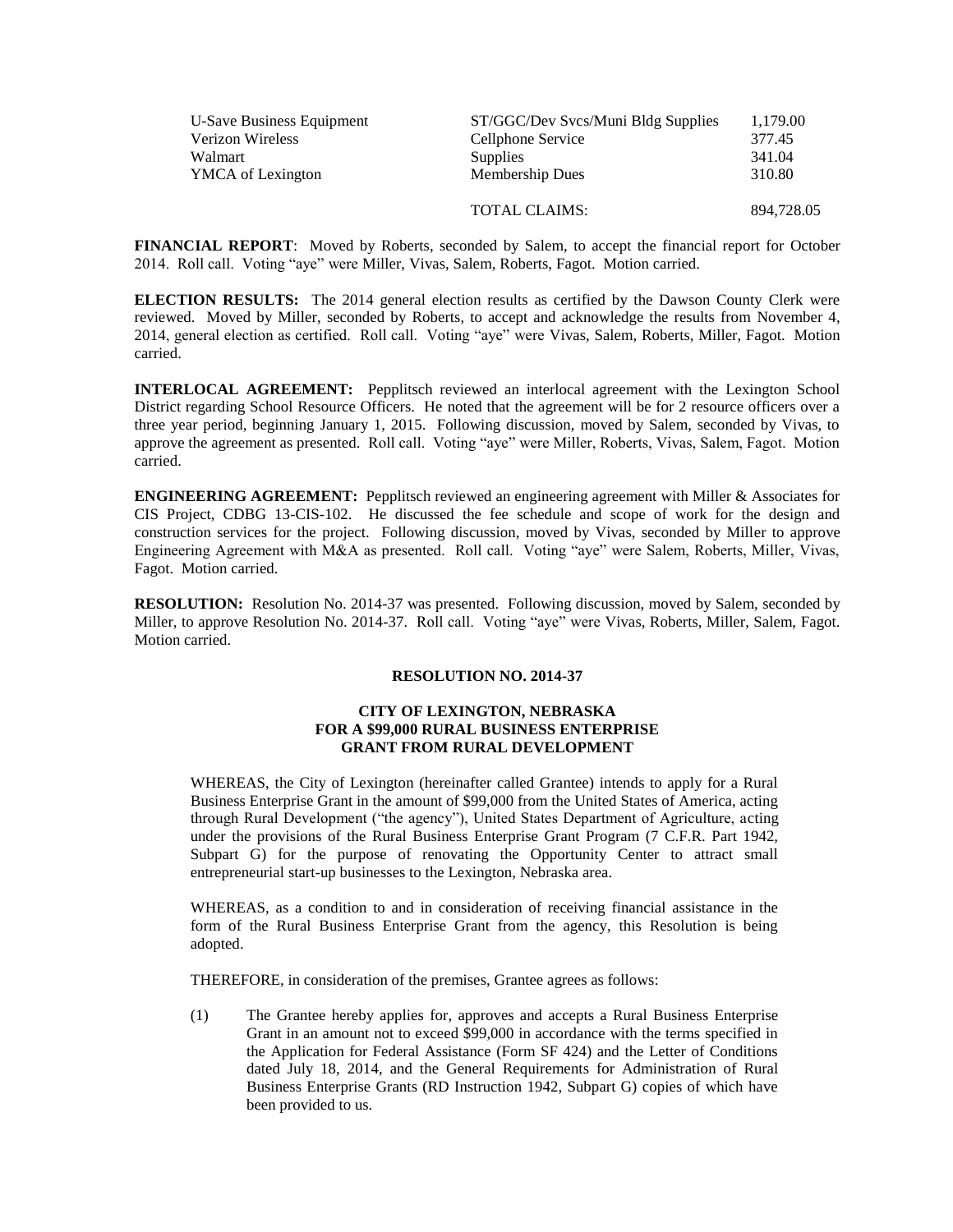| U-Save Business Equipment | ST/GGC/Dev Svcs/Muni Bldg Supplies | 1,179.00   |
|---------------------------|------------------------------------|------------|
| <b>Verizon Wireless</b>   | Cellphone Service                  | 377.45     |
| Walmart                   | <b>Supplies</b>                    | 341.04     |
| <b>YMCA</b> of Lexington  | <b>Membership Dues</b>             | 310.80     |
|                           | <b>TOTAL CLAIMS:</b>               | 894.728.05 |

**FINANCIAL REPORT**: Moved by Roberts, seconded by Salem, to accept the financial report for October 2014. Roll call. Voting "aye" were Miller, Vivas, Salem, Roberts, Fagot. Motion carried.

**ELECTION RESULTS:** The 2014 general election results as certified by the Dawson County Clerk were reviewed. Moved by Miller, seconded by Roberts, to accept and acknowledge the results from November 4, 2014, general election as certified. Roll call. Voting "aye" were Vivas, Salem, Roberts, Miller, Fagot. Motion carried.

**INTERLOCAL AGREEMENT:** Pepplitsch reviewed an interlocal agreement with the Lexington School District regarding School Resource Officers. He noted that the agreement will be for 2 resource officers over a three year period, beginning January 1, 2015. Following discussion, moved by Salem, seconded by Vivas, to approve the agreement as presented. Roll call. Voting "aye" were Miller, Roberts, Vivas, Salem, Fagot. Motion carried.

**ENGINEERING AGREEMENT:** Pepplitsch reviewed an engineering agreement with Miller & Associates for CIS Project, CDBG 13-CIS-102. He discussed the fee schedule and scope of work for the design and construction services for the project. Following discussion, moved by Vivas, seconded by Miller to approve Engineering Agreement with M&A as presented. Roll call. Voting "aye" were Salem, Roberts, Miller, Vivas, Fagot. Motion carried.

**RESOLUTION:** Resolution No. 2014-37 was presented. Following discussion, moved by Salem, seconded by Miller, to approve Resolution No. 2014-37. Roll call. Voting "aye" were Vivas, Roberts, Miller, Salem, Fagot. Motion carried.

## **RESOLUTION NO. 2014-37**

# **CITY OF LEXINGTON, NEBRASKA FOR A \$99,000 RURAL BUSINESS ENTERPRISE GRANT FROM RURAL DEVELOPMENT**

WHEREAS, the City of Lexington (hereinafter called Grantee) intends to apply for a Rural Business Enterprise Grant in the amount of \$99,000 from the United States of America, acting through Rural Development ("the agency"), United States Department of Agriculture, acting under the provisions of the Rural Business Enterprise Grant Program (7 C.F.R. Part 1942, Subpart G) for the purpose of renovating the Opportunity Center to attract small entrepreneurial start-up businesses to the Lexington, Nebraska area.

WHEREAS, as a condition to and in consideration of receiving financial assistance in the form of the Rural Business Enterprise Grant from the agency, this Resolution is being adopted.

THEREFORE, in consideration of the premises, Grantee agrees as follows:

(1) The Grantee hereby applies for, approves and accepts a Rural Business Enterprise Grant in an amount not to exceed \$99,000 in accordance with the terms specified in the Application for Federal Assistance (Form SF 424) and the Letter of Conditions dated July 18, 2014, and the General Requirements for Administration of Rural Business Enterprise Grants (RD Instruction 1942, Subpart G) copies of which have been provided to us.